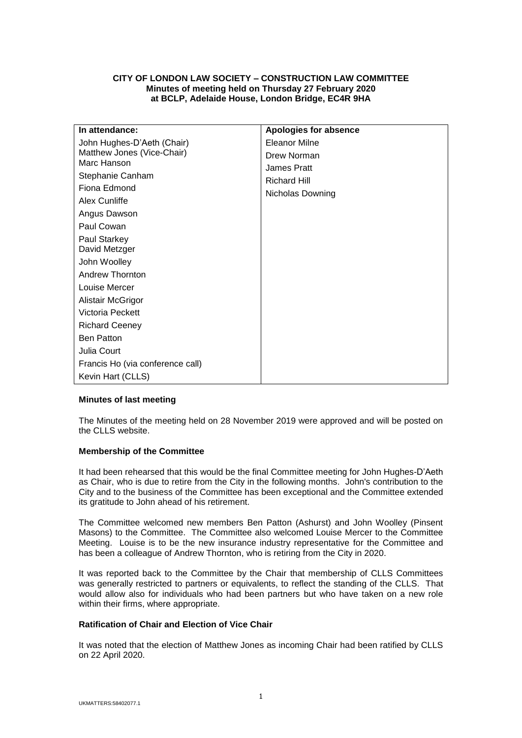# **CITY OF LONDON LAW SOCIETY – CONSTRUCTION LAW COMMITTEE Minutes of meeting held on Thursday 27 February 2020 at BCLP, Adelaide House, London Bridge, EC4R 9HA**

| In attendance:                            | <b>Apologies for absence</b> |
|-------------------------------------------|------------------------------|
| John Hughes-D'Aeth (Chair)                | Eleanor Milne                |
| Matthew Jones (Vice-Chair)<br>Marc Hanson | Drew Norman                  |
| Stephanie Canham                          | <b>James Pratt</b>           |
| Fiona Edmond                              | <b>Richard Hill</b>          |
| Alex Cunliffe                             | Nicholas Downing             |
| Angus Dawson                              |                              |
| Paul Cowan                                |                              |
| Paul Starkey<br>David Metzger             |                              |
| John Woolley                              |                              |
| <b>Andrew Thornton</b>                    |                              |
| Louise Mercer                             |                              |
| Alistair McGrigor                         |                              |
| Victoria Peckett                          |                              |
| <b>Richard Ceeney</b>                     |                              |
| <b>Ben Patton</b>                         |                              |
| Julia Court                               |                              |
| Francis Ho (via conference call)          |                              |
| Kevin Hart (CLLS)                         |                              |

## **Minutes of last meeting**

The Minutes of the meeting held on 28 November 2019 were approved and will be posted on the CLLS website.

## **Membership of the Committee**

It had been rehearsed that this would be the final Committee meeting for John Hughes-D'Aeth as Chair, who is due to retire from the City in the following months. John's contribution to the City and to the business of the Committee has been exceptional and the Committee extended its gratitude to John ahead of his retirement.

The Committee welcomed new members Ben Patton (Ashurst) and John Woolley (Pinsent Masons) to the Committee. The Committee also welcomed Louise Mercer to the Committee Meeting. Louise is to be the new insurance industry representative for the Committee and has been a colleague of Andrew Thornton, who is retiring from the City in 2020.

It was reported back to the Committee by the Chair that membership of CLLS Committees was generally restricted to partners or equivalents, to reflect the standing of the CLLS. That would allow also for individuals who had been partners but who have taken on a new role within their firms, where appropriate.

## **Ratification of Chair and Election of Vice Chair**

It was noted that the election of Matthew Jones as incoming Chair had been ratified by CLLS on 22 April 2020.